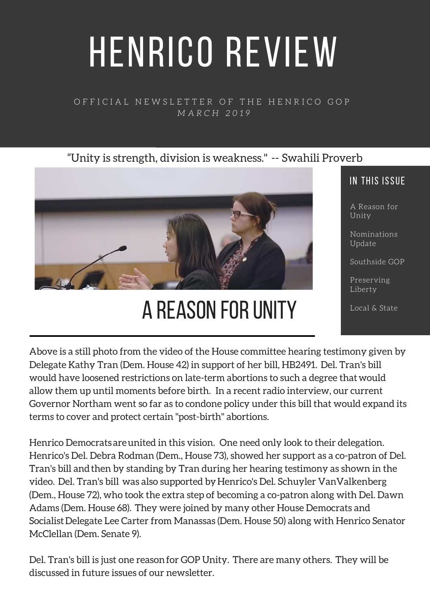# HENRICO REVIEW

### OFFICIAL NEWSLETTER OF THE HENRICO GOP *M A R C H 2 0 1 9*

### "Unity is strength, division is weakness." -- Swahili Proverb



# A REASON FOR UNITY

### IN THIS ISSUE

A Reason for Unity

Nominations Update

Southside GOP

Preserving Liberty

Local & State

Above is a still photo from the video of the House committee hearing testimony given by Delegate Kathy Tran (Dem. House 42) in support of her bill, HB2491. Del. Tran's bill would have loosened restrictions on late-term abortions to such a degree thatwould allow them up until moments before birth. In a recent radio interview, our current Governor Northam went so far as to condone policy under this bill that would expand its terms to cover and protect certain "post-birth" abortions.

Henrico Democrats areunited in this vision. One need only look to their delegation. Henrico's Del. Debra Rodman (Dem., House 73), showed her support as a co-patron of Del. Tran's bill andthen by standing by Tran during her hearing testimony as shown in the video. Del. Tran's bill was also supported by Henrico's Del. Schuyler VanValkenberg (Dem., House 72), who took the extra step of becoming a co-patron along with Del. Dawn Adams (Dem. House 68). They were joined by many other House Democrats and Socialist Delegate Lee Carter from Manassas (Dem. House 50) along with Henrico Senator McClellan (Dem. Senate 9).

Del. Tran's bill is just one reason for GOP Unity. There are many others. They will be discussed in future issues of our newsletter.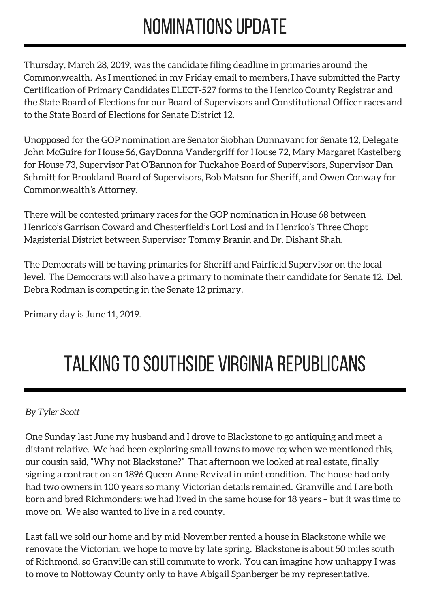# NOMINATIONS UPDATE

Thursday, March 28, 2019, was the candidate filing deadline in primaries around the Commonwealth. As I mentioned in my Friday email to members, I have submitted the Party Certification of Primary Candidates ELECT-527 forms to the Henrico County Registrar and the State Board of Elections for our Board of Supervisors and Constitutional Officer races and to the State Board of Elections for Senate District 12.

Unopposed for the GOP nomination are Senator Siobhan Dunnavant for Senate 12, Delegate John McGuire for House 56, GayDonna Vandergriff for House 72, Mary Margaret Kastelberg for House 73, Supervisor Pat O'Bannon for Tuckahoe Board of Supervisors, Supervisor Dan Schmitt for Brookland Board of Supervisors, Bob Matson for Sheriff, and Owen Conway for Commonwealth's Attorney.

There will be contested primary races for the GOP nomination in House 68 between Henrico's Garrison Coward and Chesterfield's Lori Losi and in Henrico's Three Chopt Magisterial District between Supervisor Tommy Branin and Dr. Dishant Shah.

The Democrats will be having primaries for Sheriff and Fairfield Supervisor on the local level. The Democrats will also have a primary to nominate their candidate for Senate 12. Del. Debra Rodman is competing in the Senate 12 primary.

Primary day is June 11, 2019.

# TALKING TO SOUTHSIDE VIRGINIA REPUBLICANS

### *By Tyler Scott*

One Sunday last June my husband and I drove to Blackstone to go antiquing and meet a distant relative. We had been exploring small towns to move to; when we mentioned this, our cousin said, "Why not Blackstone?" That afternoon we looked at real estate, finally signing a contract on an 1896 Queen Anne Revival in mint condition. The house had only had two owners in 100 years so many Victorian details remained. Granville and I are both born and bred Richmonders: we had lived in the same house for 18 years – but it was time to move on. We also wanted to live in a red county.

Last fall we sold our home and by mid-November rented a house in Blackstone while we renovate the Victorian; we hope to move by late spring. Blackstone is about 50 miles south of Richmond, so Granville can still commute to work. You can imagine how unhappy I was to move to Nottoway County only to have Abigail Spanberger be my representative.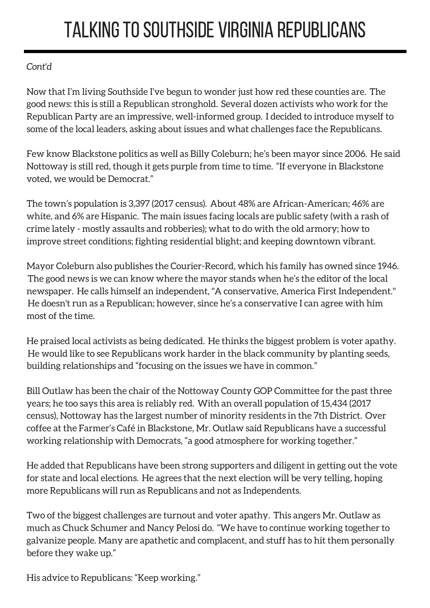# TALKING TO SOUTHSIDE VIRGINIA REPUBLICANS

### *Cont'd*

Now that I'm living Southside I've begun to wonder just how red these counties are. The good news: this is still a Republican stronghold. Several dozen activists who work for the Republican Party are an impressive, well-informed group. I decided to introduce myself to some of the local leaders, asking about issues and what challenges face the Republicans.

Few know Blackstone politics as well as Billy Coleburn; he's been mayor since 2006. He said Nottoway is still red, though it gets purple from time to time. "If everyone in Blackstone voted, we would be Democrat."

The town's population is 3,397 (2017 census). About 48% are African-American; 46% are white, and 6% are Hispanic. The main issues facing locals are public safety (with a rash of crime lately - mostly assaults and robberies); what to do with the old armory; how to improve street conditions; fighting residential blight; and keeping downtown vibrant.

Mayor Coleburn also publishes the Courier-Record, which his family has owned since 1946. The good news is we can know where the mayor stands when he's the editor of the local newspaper. He calls himself an independent, "A conservative, America First Independent." He doesn't run as a Republican; however, since he's a conservative I can agree with him most of the time.

He praised local activists as being dedicated. He thinks the biggest problem is voter apathy. He would like to see Republicans work harder in the black community by planting seeds, building relationships and "focusing on the issues we have in common."

Bill Outlaw has been the chair of the Nottoway County GOP Committee for the past three years; he too says this area is reliably red. With an overall population of 15,434 (2017 census), Nottoway has the largest number of minority residents in the 7th District. Over coffee at the Farmer's Café in Blackstone, Mr. Outlaw said Republicans have a successful working relationship with Democrats, "a good atmosphere for working together."

He added that Republicans have been strong supporters and diligent in getting out the vote for state and local elections. He agrees that the next election will be very telling, hoping more Republicans will run as Republicans and not as Independents.

Two of the biggest challenges are turnout and voter apathy. This angers Mr. Outlaw as much as Chuck Schumer and Nancy Pelosi do. "We have to continue working together to galvanize people. Many are apathetic and complacent, and stuff has to hit them personally before they wake up."

His advice to Republicans: "Keep working."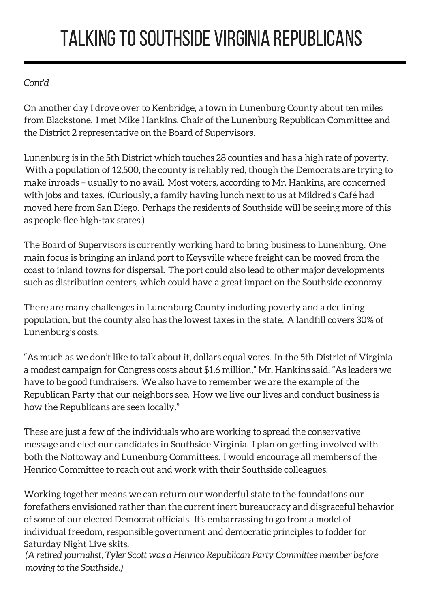# TALKING TO SOUTHSIDE VIRGINIA REPUBLICANS

### *Cont'd*

On another day I drove over to Kenbridge, a town in Lunenburg County about ten miles from Blackstone. I met Mike Hankins, Chair of the Lunenburg Republican Committee and the District 2 representative on the Board of Supervisors.

Lunenburg is in the 5th District which touches 28 counties and has a high rate of poverty. With a population of 12,500, the county is reliably red, though the Democrats are trying to make inroads – usually to no avail. Most voters, according to Mr. Hankins, are concerned with jobs and taxes. (Curiously, a family having lunch next to us at Mildred's Café had moved here from San Diego. Perhaps the residents of Southside will be seeing more of this as people flee high-tax states.)

The Board of Supervisors is currently working hard to bring business to Lunenburg. One main focus is bringing an inland port to Keysville where freight can be moved from the coast to inland towns for dispersal. The port could also lead to other major developments such as distribution centers, which could have a great impact on the Southside economy.

There are many challenges in Lunenburg County including poverty and a declining population, but the county also has the lowest taxes in the state. A landfill covers 30% of Lunenburg's costs.

"As much as we don't like to talk about it, dollars equal votes. In the 5th District of Virginia a modest campaign for Congress costs about \$1.6 million," Mr. Hankins said. "As leaders we have to be good fundraisers. We also have to remember we are the example of the Republican Party that our neighbors see. How we live our lives and conduct business is how the Republicans are seen locally."

These are just a few of the individuals who are working to spread the conservative message and elect our candidates in Southside Virginia. I plan on getting involved with both the Nottoway and Lunenburg Committees. I would encourage all members of the Henrico Committee to reach out and work with their Southside colleagues.

Working together means we can return our wonderful state to the foundations our forefathers envisioned rather than the current inert bureaucracy and disgraceful behavior of some of our elected Democrat officials. It's embarrassing to go from a model of individual freedom, responsible government and democratic principles to fodder for Saturday Night Live skits.

*(A retired journalist, Tyler Scott was a Henrico Republican Party Committee member before moving to the Southside.)*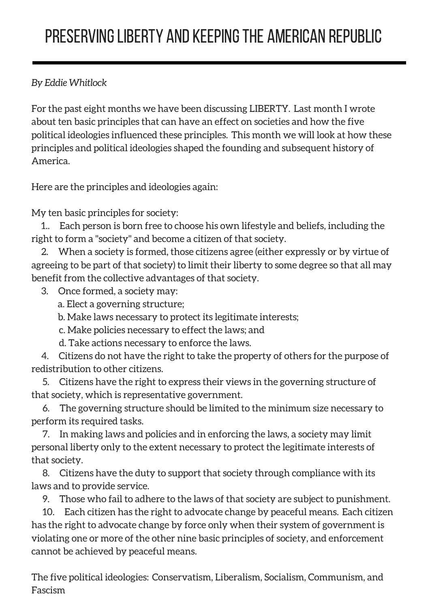### PRESERVING LIBERTY AND KEEPING THE AMERICAN REPUBLIC

### *By Eddie Whitlock*

For the past eight months we have been discussing LIBERTY. Last month I wrote about ten basic principles that can have an effect on societies and how the five political ideologies influenced these principles. This month we will look at how these principles and political ideologies shaped the founding and subsequent history of America.

Here are the principles and ideologies again:

My ten basic principles for society:

1.. Each person is born free to choose his own lifestyle and beliefs, including the right to form a "society" and become a citizen of that society.

2. When a society is formed, those citizens agree (either expressly or by virtue of agreeing to be part of that society) to limit their liberty to some degree so that all may benefit from the collective advantages of that society.

3. Once formed, a society may:

a. Elect a governing structure;

b. Make laws necessary to protect its legitimate interests;

c. Make policies necessary to effect the laws; and

d. Take actions necessary to enforce the laws.

4. Citizens do not have the right to take the property of others for the purpose of redistribution to other citizens.

5. Citizens have the right to express their views in the governing structure of that society, which is representative government.

6. The governing structure should be limited to the minimum size necessary to perform its required tasks.

7. In making laws and policies and in enforcing the laws, a society may limit personal liberty only to the extent necessary to protect the legitimate interests of that society.

8. Citizens have the duty to support that society through compliance with its laws and to provide service.

9. Those who fail to adhere to the laws of that society are subject to punishment.

10. Each citizen has the right to advocate change by peaceful means. Each citizen has the right to advocate change by force only when their system of government is violating one or more of the other nine basic principles of society, and enforcement cannot be achieved by peaceful means.

The five political ideologies: Conservatism, Liberalism, Socialism, Communism, and Fascism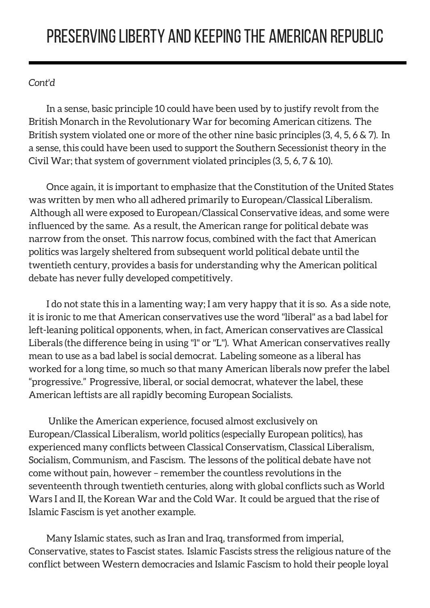### PRESERVINGLIBERTY AND KEEPINGTHE AMERICAN REPUBLIC

### *Cont'd*

In a sense, basic principle 10 could have been used by to justify revolt from the British Monarch in the Revolutionary War for becoming American citizens. The British system violated one or more of the other nine basic principles (3, 4, 5, 6 & 7). In a sense, this could have been used to support the Southern Secessionist theory in the Civil War; that system of government violated principles (3, 5, 6, 7 & 10).

Once again, it is important to emphasize that the Constitution of the United States was written by men who all adhered primarily to European/Classical Liberalism. Although all were exposed to European/Classical Conservative ideas, and some were influenced by the same. As a result, the American range for political debate was narrow from the onset. This narrow focus, combined with the fact that American politics was largely sheltered from subsequent world political debate until the twentieth century, provides a basis for understanding why the American political debate has never fully developed competitively.

I do not state this in a lamenting way; I am very happy that it is so. As a side note, it is ironic to me that American conservatives use the word "liberal" as a bad label for left-leaning political opponents, when, in fact, American conservatives are Classical Liberals (the difference being in using "l" or "L"). What American conservatives really mean to use as a bad label is social democrat. Labeling someone as a liberal has worked for a long time, so much so that many American liberals now prefer the label "progressive." Progressive, liberal, or social democrat, whatever the label, these American leftists are all rapidly becoming European Socialists.

Unlike the American experience, focused almost exclusively on European/Classical Liberalism, world politics (especially European politics), has experienced many conflicts between Classical Conservatism, Classical Liberalism, Socialism, Communism, and Fascism. The lessons of the political debate have not come without pain, however – remember the countless revolutions in the seventeenth through twentieth centuries, along with global conflicts such as World Wars I and II, the Korean War and the Cold War. It could be argued that the rise of Islamic Fascism is yet another example.

Many Islamic states, such as Iran and Iraq, transformed from imperial, Conservative, states to Fascist states. Islamic Fascists stress the religious nature of the conflict between Western democracies and Islamic Fascism to hold their people loyal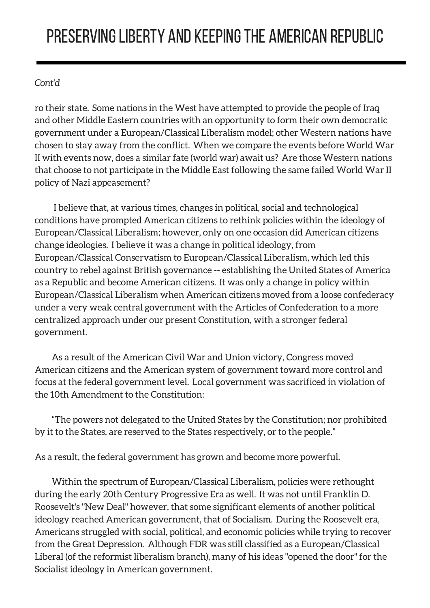### PRESERVINGLIBERTY AND KEEPINGTHE AMERICAN REPUBLIC

### *Cont'd*

ro their state. Some nations in the West have attempted to provide the people of Iraq and other Middle Eastern countries with an opportunity to form their own democratic government under a European/Classical Liberalism model; other Western nations have chosen to stay away from the conflict. When we compare the events before World War II with events now, does a similar fate (world war) await us? Are those Western nations that choose to not participate in the Middle East following the same failed World War II policy of Nazi appeasement?

I believe that, at various times, changes in political, social and technological conditions have prompted American citizens to rethink policies within the ideology of European/Classical Liberalism; however, only on one occasion did American citizens change ideologies. I believe it was a change in political ideology, from European/Classical Conservatism to European/Classical Liberalism, which led this country to rebel against British governance -- establishing the United States of America as a Republic and become American citizens. It was only a change in policy within European/Classical Liberalism when American citizens moved from a loose confederacy under a very weak central government with the Articles of Confederation to a more centralized approach under our present Constitution, with a stronger federal government.

As a result of the American Civil War and Union victory, Congress moved American citizens and the American system of government toward more control and focus at the federal government level. Local government was sacrificed in violation of the 10th Amendment to the Constitution:

"The powers not delegated to the United States by the Constitution; nor prohibited by it to the States, are reserved to the States respectively, or to the people."

As a result, the federal government has grown and become more powerful.

Within the spectrum of European/Classical Liberalism, policies were rethought during the early 20th Century Progressive Era as well. It was not until Franklin D. Roosevelt's "New Deal" however, that some significant elements of another political ideology reached American government, that of Socialism. During the Roosevelt era, Americans struggled with social, political, and economic policies while trying to recover from the Great Depression. Although FDR was still classified as a European/Classical Liberal (of the reformist liberalism branch), many of his ideas "opened the door" for the Socialist ideology in American government.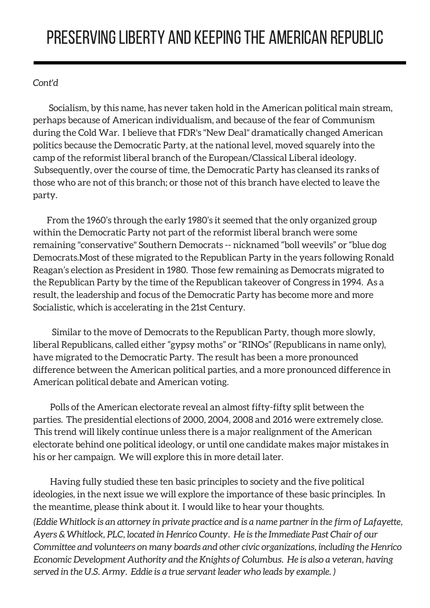### *Cont'd*

Socialism, by this name, has never taken hold in the American political main stream, perhaps because of American individualism, and because of the fear of Communism during the Cold War. I believe that FDR's "New Deal" dramatically changed American politics because the Democratic Party, at the national level, moved squarely into the camp of the reformist liberal branch of the European/Classical Liberal ideology. Subsequently, over the course of time, the Democratic Party has cleansed its ranks of those who are not of this branch; or those not of this branch have elected to leave the party.

From the 1960's through the early 1980's it seemed that the only organized group within the Democratic Party not part of the reformist liberal branch were some remaining "conservative" Southern Democrats -- nicknamed "boll weevils" or "blue dog Democrats.Most of these migrated to the Republican Party in the years following Ronald Reagan's election as President in 1980. Those few remaining as Democrats migrated to the Republican Party by the time of the Republican takeover of Congress in 1994. As a result, the leadership and focus of the Democratic Party has become more and more Socialistic, which is accelerating in the 21st Century.

Similar to the move of Democrats to the Republican Party, though more slowly, liberal Republicans, called either "gypsy moths" or "RINOs" (Republicans in name only), have migrated to the Democratic Party. The result has been a more pronounced difference between the American political parties, and a more pronounced difference in American political debate and American voting.

Polls of the American electorate reveal an almost fifty-fifty split between the parties. The presidential elections of 2000, 2004, 2008 and 2016 were extremely close. This trend will likely continue unless there is a major realignment of the American electorate behind one political ideology, or until one candidate makes major mistakes in his or her campaign. We will explore this in more detail later.

Having fully studied these ten basic principles to society and the five political ideologies, in the next issue we will explore the importance of these basic principles. In the meantime, please think about it. I would like to hear your thoughts.

*(Eddie Whitlock is an attorney in private practice and is a name partner in the firm of Lafayette, Ayers & Whitlock, PLC, located in Henrico County. He is the Immediate Past Chair of our Committee and volunteers on many boards and other civic organizations, including the Henrico Economic Development Authority and the Knights of Columbus. He is also a veteran, having served in the U.S. Army. Eddie is a true servant leader who leads by example. )*